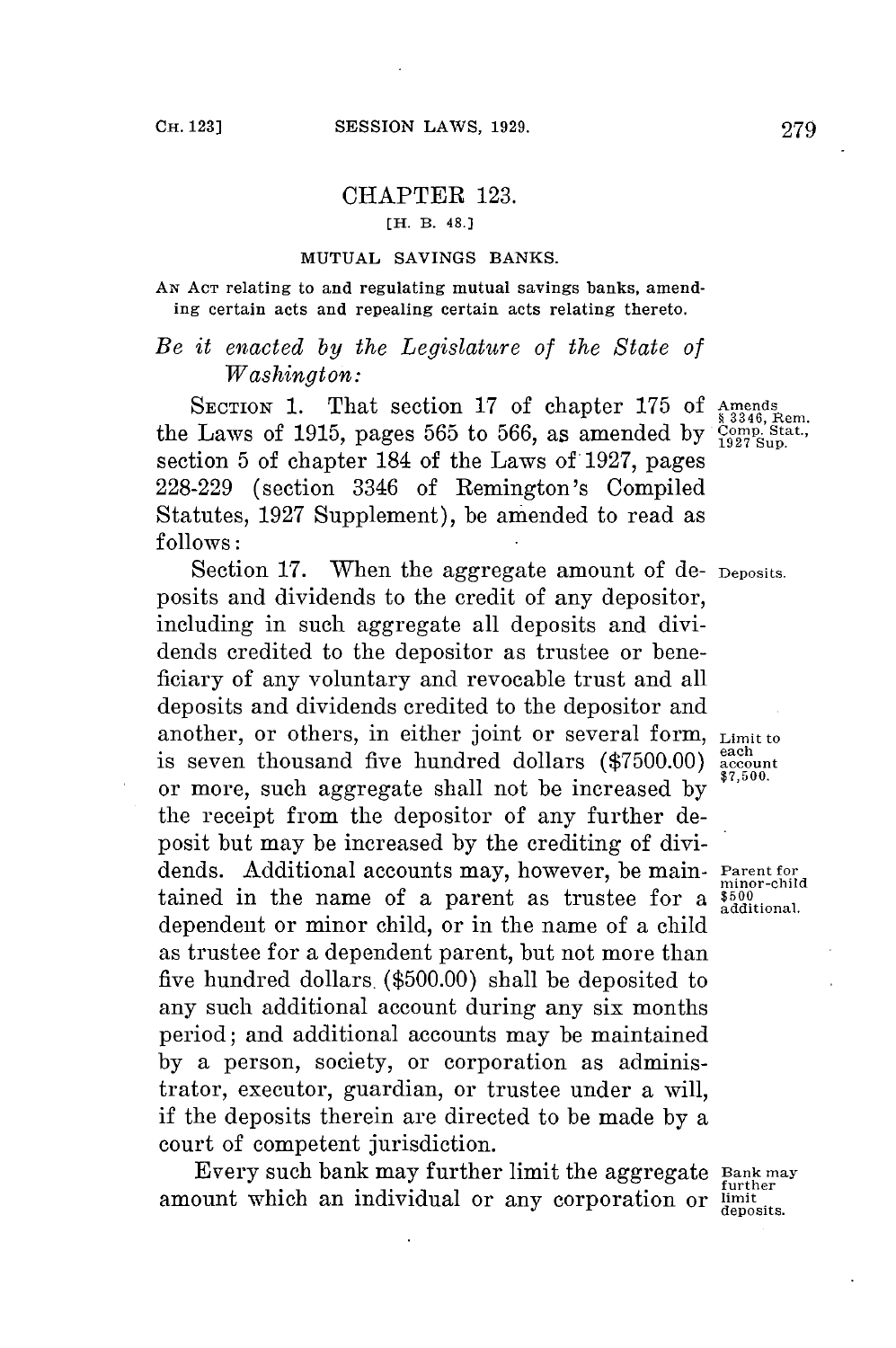## CHAPTER **123.**

**[H.** B. **48.]**

## **MUTUAL SAVINGS BANKS.**

**AN ACT relating to and regulating mutual savings banks,** amending certain acts and repealing certain acts relating thereto.

## *Be it enacted by the Legislature of the State of Washington:*

SECTION 1. That section 17 of chapter 175 of Amends the Laws of **1915,** pages **565** to **566,** as amended **by Comp. Stat., <sup>1927</sup>**Sup. section **5** of chapter 184 of the Laws of **1927,** pages **228-229** (section 3346 of Remington's Compiled Statutes, **1927** Supplement), be amended to read as **follows:**

Section 17. When the aggregate amount of de- Deposits. posits and dividends to the credit of any depositor, including in such aggregate all deposits and dividends credited to the depositor as trustee or beneficiary of any voluntary and revocable trust and all deposits and dividends credited to the depositor and another, or others, in either joint or several form,  $_{\text{Limit to}}$ is seven thousand five hundred dollars  $(\$7500.00)$  accounts  $\$7,500$ . or more, such aggregate shall not be increased **by \$7,500.** the receipt from the depositor of any further deposit but may be increased **by** the crediting of dividends. Additional accounts may, however, be main- Parent for tained in the name of a parent as trustee for a dependent or minor child, or in the name of a child as trustee for a dependent parent, but not more than five hundred dollars. **(\$500.00)** shall be deposited to any such additional account during any six months period; and additional accounts may be maintained **by** a person, society, or corporation as administrator, executor, guardian, or trustee under a will, if the deposits therein are directed to be made **by** a court of competent jurisdiction.

Every such bank may further limit the aggregate **Bank may** further amount which an individual or any corporation or limited deposits.

minor-child<br>\$500<br>additional.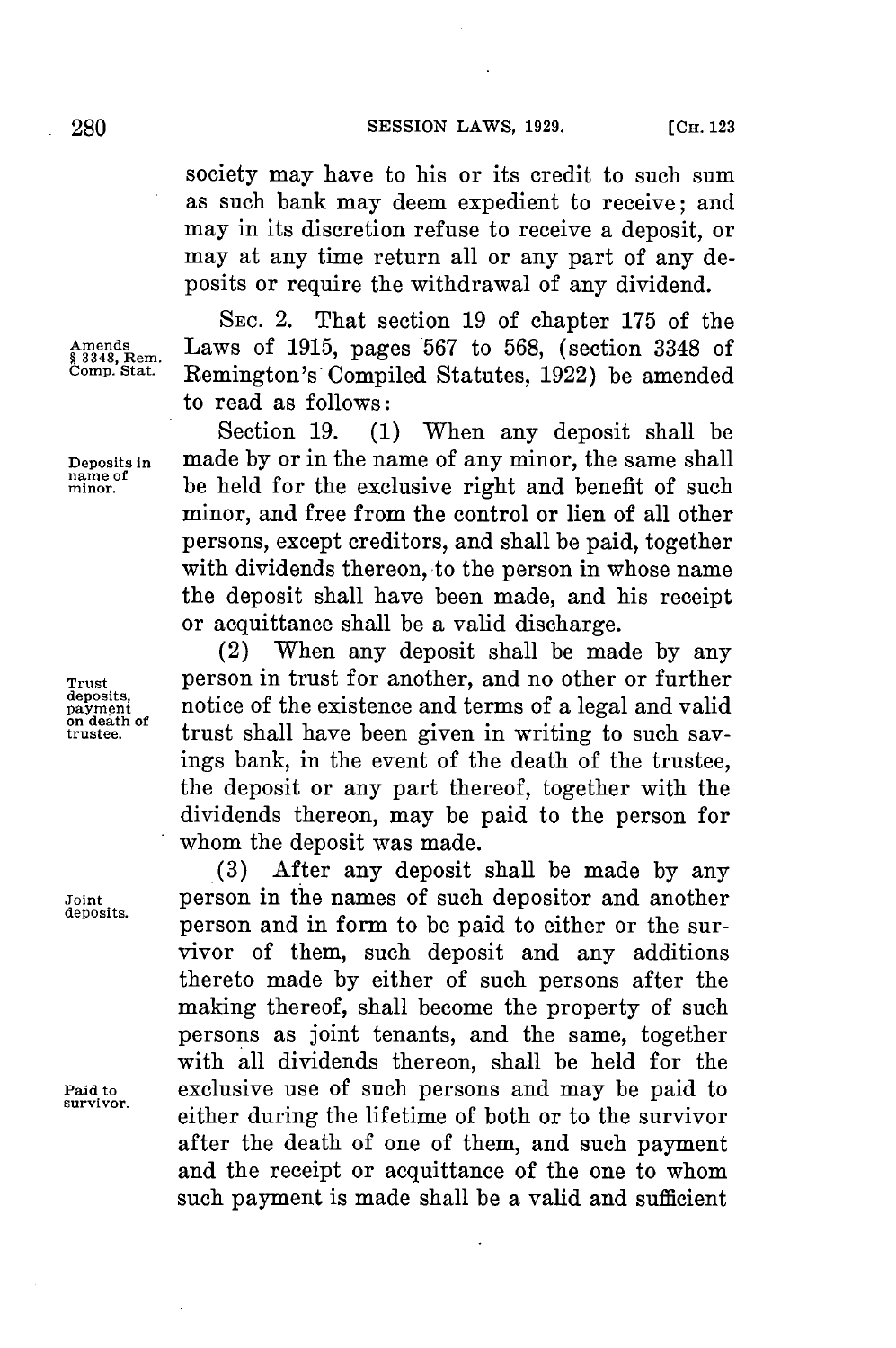society may have to his or its credit to such sum as such bank may deem expedient to receive; and may in its discretion refuse to receive a deposit, or may at any time return all or any part of any deposits or require the withdrawal of any dividend.

**SEC.** 2. That section **19** of chapter **175** of the Amends Laws of 1915, pages 567 to 568, (section 3348 of  $\frac{23348}{29}$ , Rem.<br> **Comp. Stat.** Remington's Compiled Statutes 1922) be amended **Comp. Stat.** Remington's Compiled Statutes, **1922)** be amended to read as follows:

Section **19. (1)** When any deposit shall be **Deposits in made by or in the name of any minor, the same shall name of be** held for the exclusive right and benefit of such **minor** be held **for** the exclusive right and benefit of such minor, and free from the control or lien of all other persons, except creditors, and shall be paid, together with dividends thereon, to the person in whose name the deposit shall have been made, and his receipt or acquittance shall be a valid discharge.

(2) When any deposit shall be made **by** any **Trust** person in trust for another, and no other or further deposits,<br>payment **payment payment** of the existence and terms of a legal and valid<br>trustee. *payment* trust shall have been given in writing to such saytrust shall have been given in writing to such sayings bank, in the event of the death of the trustee, the deposit or any part thereof, together with the dividends thereon, may be paid to the person for whom the deposit was made.

**(3)** After any deposit shall be made **by** any **Joint** person in the names of such depositor and another person and in form to be paid to either or the survivor of them, such deposit and any additions thereto made **by** either of such persons after the making thereof, shall become the property of such persons as joint tenants, and the same, together with all dividends thereon, shall be held for the exclusive use of such persons and may be paid to Paid to **exclusive use of such persons and may be paid to** survivor.<br>either during the lifetime of both or to the survivor after the death of one of them, and such payment and the receipt or acquittance of the one to whom such payment is made shall be a valid and sufficient

deposits,<br>payment<br>on death of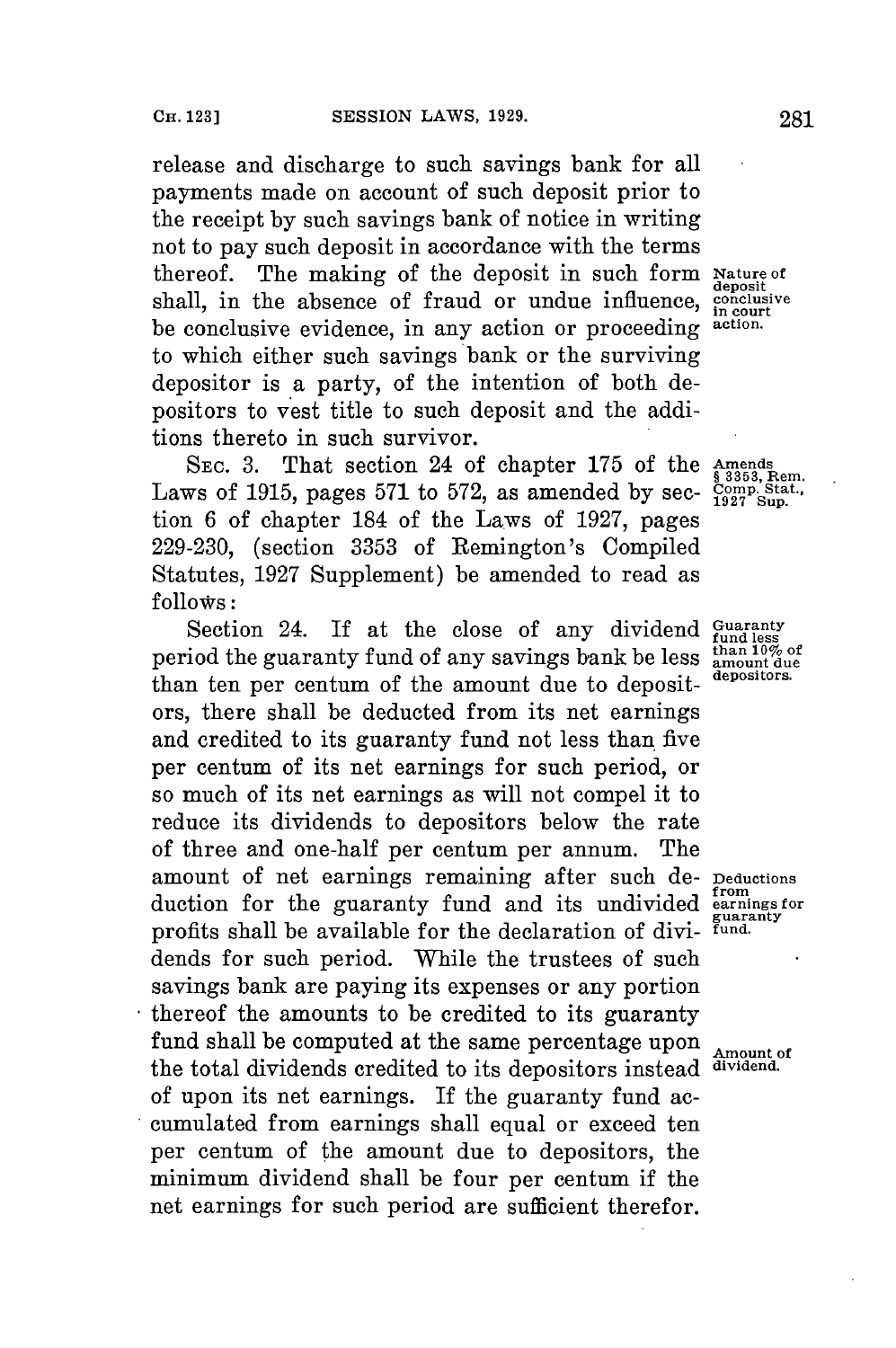release and discharge to such savings bank for all payments made on account of such deposit prior to the receipt **by** such savings bank of notice in writing not to pay such deposit in accordance with the terms thereof. The making of the deposit in such form **Nature of** shall, in the absence of fraud or undue influence, be conclusive evidence, in any action or proceeding **action.** to which either such savings bank or the surviving depositor is a party, of the intention of both depositors to vest title to such deposit and the additions thereto in such survivor.

SEC. 3. That section 24 of chapter 175 of the **Amends**<br>Laws of 1915, pages 571 to 572, as amended by sec-  $\frac{\text{Comm. Star}}{\text{1927 Sup.}}$ tion **6** of chapter 184 of the Laws of **1927,** pages **229-230,** (section **3353** of Remington's Compiled Statutes, **1927** Supplement) be amended to read as **follows:**

Section 24. If at the close of any dividend *Guaranty* period the guaranty fund of any savings bank be less  $\frac{\text{than 10\% of}}{\text{amount due}}$ than ten per centum of the amount due to deposit- **depositors.** ors, there shall be deducted from its net earnings and credited to its guaranty fund not less than five per centum of its net earnings for such period, or so much of its net earnings as will not compel it to reduce its dividends to depositors below the rate of three and one-half per centum per annum. The amount of net earnings remaining after such de- **Deductions**<br>duction for the guaranty fund and its undivided earnings for duction for the guaranty fund and its undivided profits shall be available for the declaration of dividends for such period. While the trustees of such savings bank are paying its expenses or any portion thereof the amounts to be credited to its guaranty fund shall be computed at the same percentage upon  $\Delta$ <sub>Amount of</sub> the total dividends credited to its depositors instead **dividend.** of upon its net earnings. If the guaranty fund accumulated from earnings shall equal or exceed ten per centum of the amount due to depositors, the minimum dividend shall be four per centum if the net earnings for such period are sufficient therefor.

deposit<br>conclusive<br>in court

guaranty<br>fund.